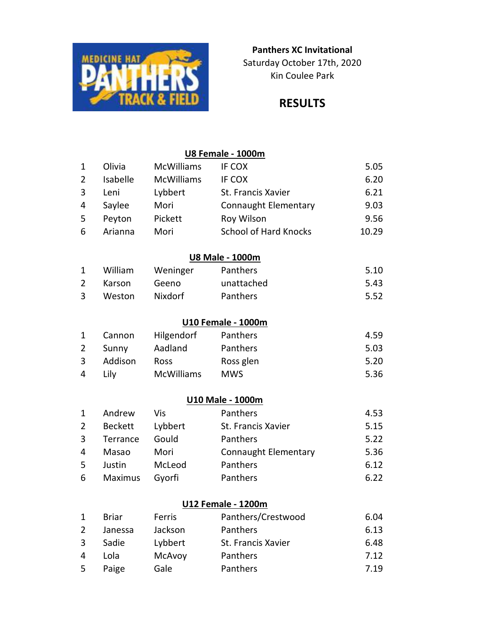

### Kin Coulee Park Panthers XC Invitational Saturday October 17th, 2020

# RESULTS

### U8 Female - 1000m

| $\overline{1}$ | Olivia         | <b>McWilliams</b> | IF COX                       | 5.05  |
|----------------|----------------|-------------------|------------------------------|-------|
| $\overline{2}$ | Isabelle       | <b>McWilliams</b> | IF COX                       | 6.20  |
| 3              | Leni           | Lybbert           | St. Francis Xavier           | 6.21  |
| 4              | Saylee         | Mori              | <b>Connaught Elementary</b>  | 9.03  |
| 5              | Peyton         | Pickett           | Roy Wilson                   | 9.56  |
| 6              | Arianna        | Mori              | <b>School of Hard Knocks</b> | 10.29 |
|                |                |                   | <b>U8 Male - 1000m</b>       |       |
| $\mathbf{1}$   | William        | Weninger          | Panthers                     | 5.10  |
| $\overline{2}$ | Karson         | Geeno             | unattached                   | 5.43  |
| 3              | Weston         | Nixdorf           | Panthers                     | 5.52  |
|                |                |                   | <b>U10 Female - 1000m</b>    |       |
| $\mathbf{1}$   | Cannon         | Hilgendorf        | Panthers                     | 4.59  |
| $\overline{2}$ | Sunny          | Aadland           | Panthers                     | 5.03  |
| 3              | Addison        | Ross              | Ross glen                    | 5.20  |
| 4              | Lily           | <b>McWilliams</b> | <b>MWS</b>                   | 5.36  |
|                |                |                   | <b>U10 Male - 1000m</b>      |       |
| $\mathbf{1}$   | Andrew         | Vis               | Panthers                     | 4.53  |
| $\overline{2}$ | <b>Beckett</b> | Lybbert           | St. Francis Xavier           | 5.15  |
| 3              | Terrance       | Gould             | Panthers                     | 5.22  |
| 4              | Masao          | Mori              | <b>Connaught Elementary</b>  | 5.36  |
| 5              | Justin         | McLeod            | Panthers                     | 6.12  |
| 6              | Maximus        | Gyorfi            | Panthers                     | 6.22  |
|                |                |                   |                              |       |

### U12 Female - 1200m

|   | <b>Briar</b> | Ferris        | Panthers/Crestwood | 6.04 |
|---|--------------|---------------|--------------------|------|
| 2 | Janessa      | Jackson       | Panthers           | 6.13 |
| 3 | Sadie        | Lybbert       | St. Francis Xavier | 6.48 |
| 4 | Lola         | <b>McAvoy</b> | Panthers           | 7.12 |
| 5 | Paige        | Gale          | Panthers           | 7.19 |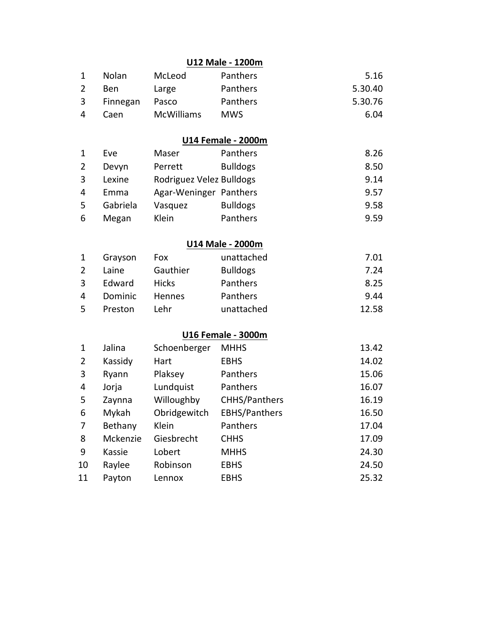### U12 Male - 1200m

| 1 | <b>Nolan</b> | McLeod            | <b>Panthers</b> | 5.16    |
|---|--------------|-------------------|-----------------|---------|
| 2 | Ben          | Large             | Panthers        | 5.30.40 |
|   | 3 Finnegan   | Pasco             | <b>Panthers</b> | 5.30.76 |
| 4 | Caen         | <b>McWilliams</b> | MWS.            | 6.04    |

### U14 Female - 2000m

| $\mathbf{1}$ | Eve      | Maser                    | Panthers        | 8.26 |
|--------------|----------|--------------------------|-----------------|------|
| 2            | Devyn    | Perrett                  | <b>Bulldogs</b> | 8.50 |
| 3            | Lexine   | Rodriguez Velez Bulldogs |                 | 9.14 |
| 4            | Emma     | Agar-Weninger Panthers   |                 | 9.57 |
| 5            | Gabriela | Vasquez                  | <b>Bulldogs</b> | 9.58 |
| 6            | Megan    | Klein                    | Panthers        | 9.59 |

## U14 Male - 2000m

| $\mathbf{1}$ | Grayson | <b>Fox</b>    | unattached      | 7.01  |
|--------------|---------|---------------|-----------------|-------|
| 2            | Laine   | Gauthier      | <b>Bulldogs</b> | 7.24  |
| 3            | Edward  | <b>Hicks</b>  | Panthers        | 8.25  |
| 4            | Dominic | <b>Hennes</b> | Panthers        | 9.44  |
| .5.          | Preston | Lehr          | unattached      | 12.58 |

## U16 Female - 3000m

| 1              | Jalina   | Schoenberger | <b>MHHS</b>          | 13.42 |
|----------------|----------|--------------|----------------------|-------|
| $\overline{2}$ | Kassidy  | Hart         | <b>EBHS</b>          | 14.02 |
| 3              | Ryann    | Plaksey      | Panthers             | 15.06 |
| 4              | Jorja    | Lundquist    | Panthers             | 16.07 |
| 5              | Zaynna   | Willoughby   | <b>CHHS/Panthers</b> | 16.19 |
| 6              | Mykah    | Obridgewitch | <b>EBHS/Panthers</b> | 16.50 |
| 7              | Bethany  | Klein        | Panthers             | 17.04 |
| 8              | Mckenzie | Giesbrecht   | <b>CHHS</b>          | 17.09 |
| 9              | Kassie   | Lobert       | <b>MHHS</b>          | 24.30 |
| 10             | Raylee   | Robinson     | <b>EBHS</b>          | 24.50 |
| 11             | Payton   | Lennox       | <b>EBHS</b>          | 25.32 |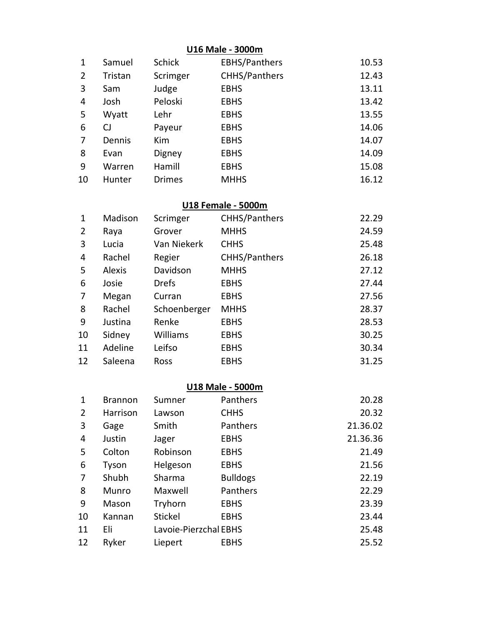### U16 Male - 3000m

| 1  | Samuel  | <b>Schick</b> | <b>EBHS/Panthers</b> | 10.53 |
|----|---------|---------------|----------------------|-------|
| 2  | Tristan | Scrimger      | CHHS/Panthers        | 12.43 |
| 3  | Sam     | Judge         | <b>EBHS</b>          | 13.11 |
| 4  | Josh    | Peloski       | <b>EBHS</b>          | 13.42 |
| 5  | Wyatt   | Lehr          | <b>EBHS</b>          | 13.55 |
| 6  | CJ      | Payeur        | <b>EBHS</b>          | 14.06 |
| 7  | Dennis  | Kim           | <b>EBHS</b>          | 14.07 |
| 8  | Evan    | Digney        | <b>EBHS</b>          | 14.09 |
| 9  | Warren  | Hamill        | <b>EBHS</b>          | 15.08 |
| 10 | Hunter  | <b>Drimes</b> | <b>MHHS</b>          | 16.12 |

### U18 Female - 5000m

| 1  | Madison       | Scrimger     | CHHS/Panthers | 22.29 |
|----|---------------|--------------|---------------|-------|
| 2  | Raya          | Grover       | <b>MHHS</b>   | 24.59 |
| 3  | Lucia         | Van Niekerk  | <b>CHHS</b>   | 25.48 |
| 4  | Rachel        | Regier       | CHHS/Panthers | 26.18 |
| 5  | <b>Alexis</b> | Davidson     | <b>MHHS</b>   | 27.12 |
| 6  | Josie         | <b>Drefs</b> | <b>EBHS</b>   | 27.44 |
| 7  | Megan         | Curran       | <b>EBHS</b>   | 27.56 |
| 8  | Rachel        | Schoenberger | <b>MHHS</b>   | 28.37 |
| 9  | Justina       | Renke        | <b>EBHS</b>   | 28.53 |
| 10 | Sidney        | Williams     | <b>EBHS</b>   | 30.25 |
| 11 | Adeline       | Leifso       | <b>EBHS</b>   | 30.34 |
| 12 | Saleena       | Ross         | <b>EBHS</b>   | 31.25 |

#### U18 Male - 5000m

| 1              | <b>Brannon</b> | Sumner                | Panthers        | 20.28    |
|----------------|----------------|-----------------------|-----------------|----------|
| $\overline{2}$ | Harrison       | Lawson                | <b>CHHS</b>     | 20.32    |
| 3              | Gage           | Smith                 | Panthers        | 21.36.02 |
| 4              | Justin         | Jager                 | <b>EBHS</b>     | 21.36.36 |
| 5              | Colton         | Robinson              | <b>EBHS</b>     | 21.49    |
| 6              | Tyson          | Helgeson              | <b>EBHS</b>     | 21.56    |
| 7              | Shubh          | Sharma                | <b>Bulldogs</b> | 22.19    |
| 8              | Munro          | Maxwell               | Panthers        | 22.29    |
| 9              | Mason          | Tryhorn               | <b>EBHS</b>     | 23.39    |
| 10             | Kannan         | <b>Stickel</b>        | <b>EBHS</b>     | 23.44    |
| 11             | Eli            | Lavoie-Pierzchal EBHS |                 | 25.48    |
| 12             | Ryker          | Liepert               | <b>EBHS</b>     | 25.52    |